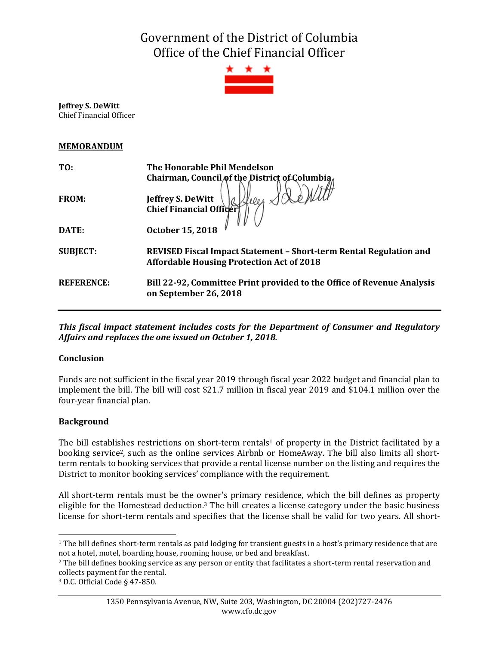Government of the District of Columbia Office of the Chief Financial Officer



**Jeffrey S. DeWitt** Chief Financial Officer

### **MEMORANDUM**

| TO:               | The Honorable Phil Mendelson<br>Chairman, Council of the District of Columbia                                          |
|-------------------|------------------------------------------------------------------------------------------------------------------------|
| <b>FROM:</b>      | Jeffrey S. DeWitt<br>Chief Financial Officer                                                                           |
| DATE:             | October 15, 2018                                                                                                       |
| <b>SUBJECT:</b>   | REVISED Fiscal Impact Statement - Short-term Rental Regulation and<br><b>Affordable Housing Protection Act of 2018</b> |
| <b>REFERENCE:</b> | Bill 22-92, Committee Print provided to the Office of Revenue Analysis<br>on September 26, 2018                        |

*This fiscal impact statement includes costs for the Department of Consumer and Regulatory Affairs and replaces the one issued on October 1, 2018.*

# **Conclusion**

Funds are not sufficient in the fiscal year 2019 through fiscal year 2022 budget and financial plan to implement the bill. The bill will cost \$21.7 million in fiscal year 2019 and \$104.1 million over the four-year financial plan.

# **Background**

 $\overline{a}$ 

The bill establishes restrictions on short-term rentals<sup>1</sup> of property in the District facilitated by a booking service2, such as the online services Airbnb or HomeAway. The bill also limits all shortterm rentals to booking services that provide a rental license number on the listing and requires the District to monitor booking services' compliance with the requirement.

All short-term rentals must be the owner's primary residence, which the bill defines as property eligible for the Homestead deduction.<sup>3</sup> The bill creates a license category under the basic business license for short-term rentals and specifies that the license shall be valid for two years. All short-

<sup>&</sup>lt;sup>1</sup> The bill defines short-term rentals as paid lodging for transient guests in a host's primary residence that are not a hotel, motel, boarding house, rooming house, or bed and breakfast.

<sup>&</sup>lt;sup>2</sup> The bill defines booking service as any person or entity that facilitates a short-term rental reservation and collects payment for the rental.

<sup>3</sup> D.C. Official Code § 47-850.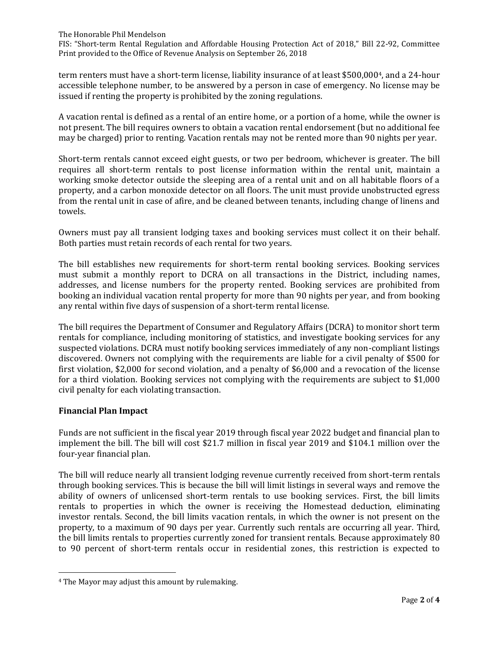The Honorable Phil Mendelson FIS: "Short-term Rental Regulation and Affordable Housing Protection Act of 2018," Bill 22-92, Committee Print provided to the Office of Revenue Analysis on September 26, 2018

term renters must have a short-term license, liability insurance of at least \$500,0004, and a 24-hour accessible telephone number, to be answered by a person in case of emergency. No license may be issued if renting the property is prohibited by the zoning regulations.

A vacation rental is defined as a rental of an entire home, or a portion of a home, while the owner is not present. The bill requires owners to obtain a vacation rental endorsement (but no additional fee may be charged) prior to renting. Vacation rentals may not be rented more than 90 nights per year.

Short-term rentals cannot exceed eight guests, or two per bedroom, whichever is greater. The bill requires all short-term rentals to post license information within the rental unit, maintain a working smoke detector outside the sleeping area of a rental unit and on all habitable floors of a property, and a carbon monoxide detector on all floors. The unit must provide unobstructed egress from the rental unit in case of afire, and be cleaned between tenants, including change of linens and towels.

Owners must pay all transient lodging taxes and booking services must collect it on their behalf. Both parties must retain records of each rental for two years.

The bill establishes new requirements for short-term rental booking services. Booking services must submit a monthly report to DCRA on all transactions in the District, including names, addresses, and license numbers for the property rented. Booking services are prohibited from booking an individual vacation rental property for more than 90 nights per year, and from booking any rental within five days of suspension of a short-term rental license.

The bill requires the Department of Consumer and Regulatory Affairs (DCRA) to monitor short term rentals for compliance, including monitoring of statistics, and investigate booking services for any suspected violations. DCRA must notify booking services immediately of any non-compliant listings discovered. Owners not complying with the requirements are liable for a civil penalty of \$500 for first violation, \$2,000 for second violation, and a penalty of \$6,000 and a revocation of the license for a third violation. Booking services not complying with the requirements are subject to \$1,000 civil penalty for each violating transaction.

#### **Financial Plan Impact**

 $\overline{a}$ 

Funds are not sufficient in the fiscal year 2019 through fiscal year 2022 budget and financial plan to implement the bill. The bill will cost \$21.7 million in fiscal year 2019 and \$104.1 million over the four-year financial plan.

The bill will reduce nearly all transient lodging revenue currently received from short-term rentals through booking services. This is because the bill will limit listings in several ways and remove the ability of owners of unlicensed short-term rentals to use booking services. First, the bill limits rentals to properties in which the owner is receiving the Homestead deduction, eliminating investor rentals. Second, the bill limits vacation rentals, in which the owner is not present on the property, to a maximum of 90 days per year. Currently such rentals are occurring all year. Third, the bill limits rentals to properties currently zoned for transient rentals. Because approximately 80 to 90 percent of short-term rentals occur in residential zones, this restriction is expected to

<sup>4</sup> The Mayor may adjust this amount by rulemaking.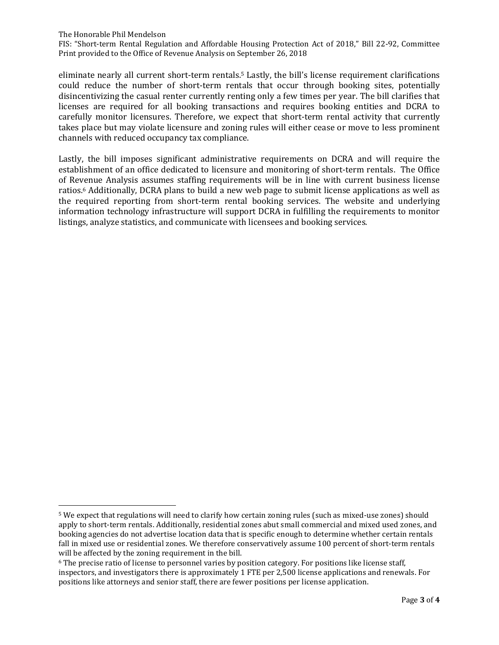The Honorable Phil Mendelson

 $\overline{a}$ 

FIS: "Short-term Rental Regulation and Affordable Housing Protection Act of 2018," Bill 22-92, Committee Print provided to the Office of Revenue Analysis on September 26, 2018

eliminate nearly all current short-term rentals.<sup>5</sup> Lastly, the bill's license requirement clarifications could reduce the number of short-term rentals that occur through booking sites, potentially disincentivizing the casual renter currently renting only a few times per year. The bill clarifies that licenses are required for all booking transactions and requires booking entities and DCRA to carefully monitor licensures. Therefore, we expect that short-term rental activity that currently takes place but may violate licensure and zoning rules will either cease or move to less prominent channels with reduced occupancy tax compliance.

Lastly, the bill imposes significant administrative requirements on DCRA and will require the establishment of an office dedicated to licensure and monitoring of short-term rentals. The Office of Revenue Analysis assumes staffing requirements will be in line with current business license ratios.<sup>6</sup> Additionally, DCRA plans to build a new web page to submit license applications as well as the required reporting from short-term rental booking services. The website and underlying information technology infrastructure will support DCRA in fulfilling the requirements to monitor listings, analyze statistics, and communicate with licensees and booking services.

<sup>5</sup> We expect that regulations will need to clarify how certain zoning rules (such as mixed-use zones) should apply to short-term rentals. Additionally, residential zones abut small commercial and mixed used zones, and booking agencies do not advertise location data that is specific enough to determine whether certain rentals fall in mixed use or residential zones. We therefore conservatively assume 100 percent of short-term rentals will be affected by the zoning requirement in the bill.

<sup>6</sup> The precise ratio of license to personnel varies by position category. For positions like license staff, inspectors, and investigators there is approximately 1 FTE per 2,500 license applications and renewals. For positions like attorneys and senior staff, there are fewer positions per license application.